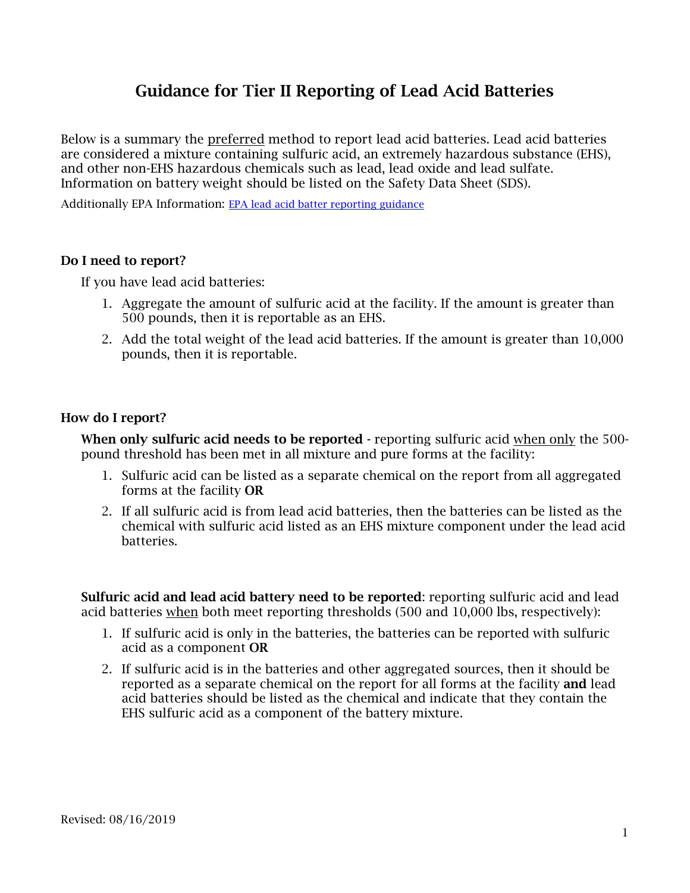# Guidance for Tier II Reporting of Lead Acid Batteries

Below is a summary the preferred method to report lead acid batteries. Lead acid batteries are considered a mixture containing sulfuric acid, an extremely hazardous substance (EHS), and other non-EHS hazardous chemicals such as lead, lead oxide and lead sulfate. Information on battery weight should be listed on the Safety Data Sheet (SDS).

Additionally EPA Information: [EPA lead acid batter reporting guidance](https://www.epa.gov/epcra/lead-acid-battery-reporting-under-epcra-sections-311-and-312-revised)

#### Do I need to report?

If you have lead acid batteries:

- 1. Aggregate the amount of sulfuric acid at the facility. If the amount is greater than 500 pounds, then it is reportable as an EHS.
- 2. Add the total weight of the lead acid batteries. If the amount is greater than 10,000 pounds, then it is reportable.

#### How do I report?

When only sulfuric acid needs to be reported - reporting sulfuric acid when only the 500pound threshold has been met in all mixture and pure forms at the facility:

- 1. Sulfuric acid can be listed as a separate chemical on the report from all aggregated forms at the facility OR
- 2. If all sulfuric acid is from lead acid batteries, then the batteries can be listed as the chemical with sulfuric acid listed as an EHS mixture component under the lead acid batteries.

Sulfuric acid and lead acid battery need to be reported: reporting sulfuric acid and lead acid batteries when both meet reporting thresholds (500 and 10,000 lbs, respectively):

- 1. If sulfuric acid is only in the batteries, the batteries can be reported with sulfuric acid as a component OR
- 2. If sulfuric acid is in the batteries and other aggregated sources, then it should be reported as a separate chemical on the report for all forms at the facility **and** lead acid batteries should be listed as the chemical and indicate that they contain the EHS sulfuric acid as a component of the battery mixture.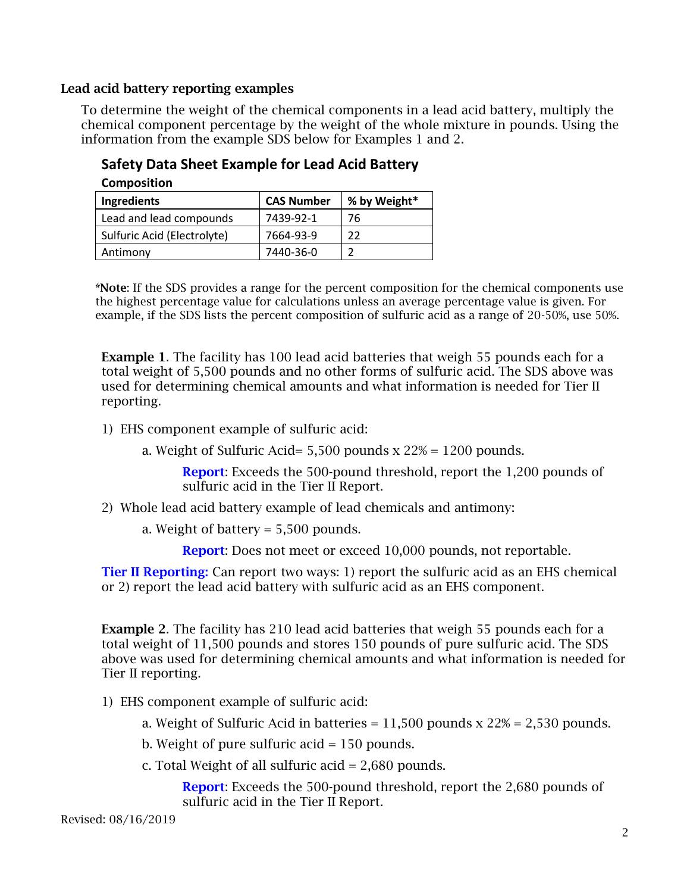## Lead acid battery reporting examples

To determine the weight of the chemical components in a lead acid battery, multiply the chemical component percentage by the weight of the whole mixture in pounds. Using the information from the example SDS below for Examples 1 and 2.

## **Safety Data Sheet Example for Lead Acid Battery Composition**

| ------------                |                   |              |
|-----------------------------|-------------------|--------------|
| Ingredients                 | <b>CAS Number</b> | % by Weight* |
| Lead and lead compounds     | 7439-92-1         | 76           |
| Sulfuric Acid (Electrolyte) | 7664-93-9         | つつ           |
| Antimony                    | 7440-36-0         |              |

\*Note: If the SDS provides a range for the percent composition for the chemical components use the highest percentage value for calculations unless an average percentage value is given. For example, if the SDS lists the percent composition of sulfuric acid as a range of 20-50%, use 50%.

**Example 1.** The facility has 100 lead acid batteries that weigh 55 pounds each for a total weight of 5,500 pounds and no other forms of sulfuric acid. The SDS above was used for determining chemical amounts and what information is needed for Tier II reporting.

1) EHS component example of sulfuric acid:

a. Weight of Sulfuric Acid=  $5,500$  pounds  $x$  22% = 1200 pounds.

Report: Exceeds the 500-pound threshold, report the 1,200 pounds of sulfuric acid in the Tier II Report.

## 2) Whole lead acid battery example of lead chemicals and antimony:

a. Weight of battery  $= 5,500$  pounds.

Report: Does not meet or exceed 10,000 pounds, not reportable.

**Tier II Reporting:** Can report two ways: 1) report the sulfuric acid as an EHS chemical or 2) report the lead acid battery with sulfuric acid as an EHS component.

**Example 2.** The facility has 210 lead acid batteries that weigh 55 pounds each for a total weight of 11,500 pounds and stores 150 pounds of pure sulfuric acid. The SDS above was used for determining chemical amounts and what information is needed for Tier II reporting.

- 1) EHS component example of sulfuric acid:
	- a. Weight of Sulfuric Acid in batteries  $= 11,500$  pounds x  $22\% = 2,530$  pounds.
	- b. Weight of pure sulfuric acid = 150 pounds.
	- c. Total Weight of all sulfuric acid = 2,680 pounds.

Report: Exceeds the 500-pound threshold, report the 2,680 pounds of sulfuric acid in the Tier II Report.

Revised: 08/16/2019